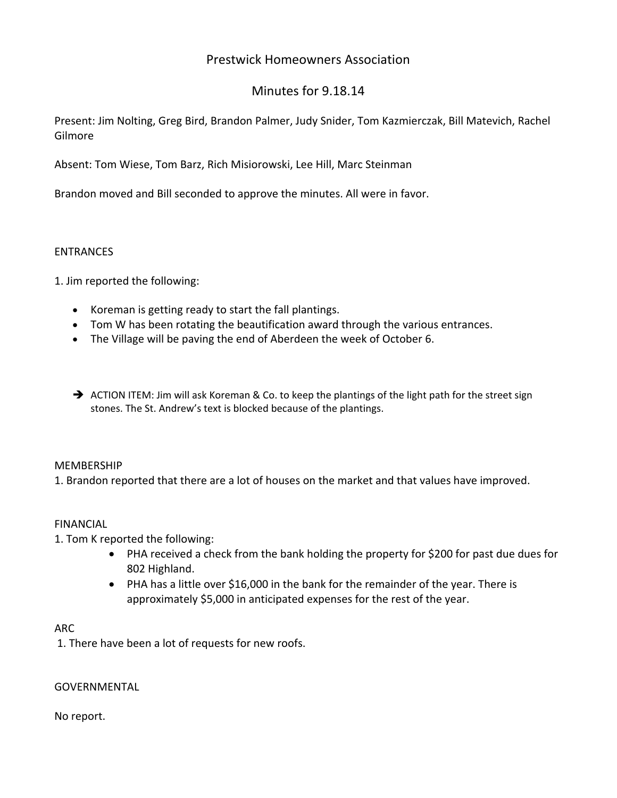## Prestwick Homeowners Association

# Minutes for 9.18.14

Present: Jim Nolting, Greg Bird, Brandon Palmer, Judy Snider, Tom Kazmierczak, Bill Matevich, Rachel Gilmore

Absent: Tom Wiese, Tom Barz, Rich Misiorowski, Lee Hill, Marc Steinman

Brandon moved and Bill seconded to approve the minutes. All were in favor.

### **ENTRANCES**

1. Jim reported the following:

- Koreman is getting ready to start the fall plantings.
- Tom W has been rotating the beautification award through the various entrances.
- The Village will be paving the end of Aberdeen the week of October 6.
- $\rightarrow$  ACTION ITEM: Jim will ask Koreman & Co. to keep the plantings of the light path for the street sign stones. The St. Andrew's text is blocked because of the plantings.

## MEMBERSHIP

1. Brandon reported that there are a lot of houses on the market and that values have improved.

## FINANCIAL

1. Tom K reported the following:

- PHA received a check from the bank holding the property for \$200 for past due dues for 802 Highland.
- PHA has a little over \$16,000 in the bank for the remainder of the year. There is approximately \$5,000 in anticipated expenses for the rest of the year.

#### ARC

1. There have been a lot of requests for new roofs.

#### GOVERNMENTAL

#### No report.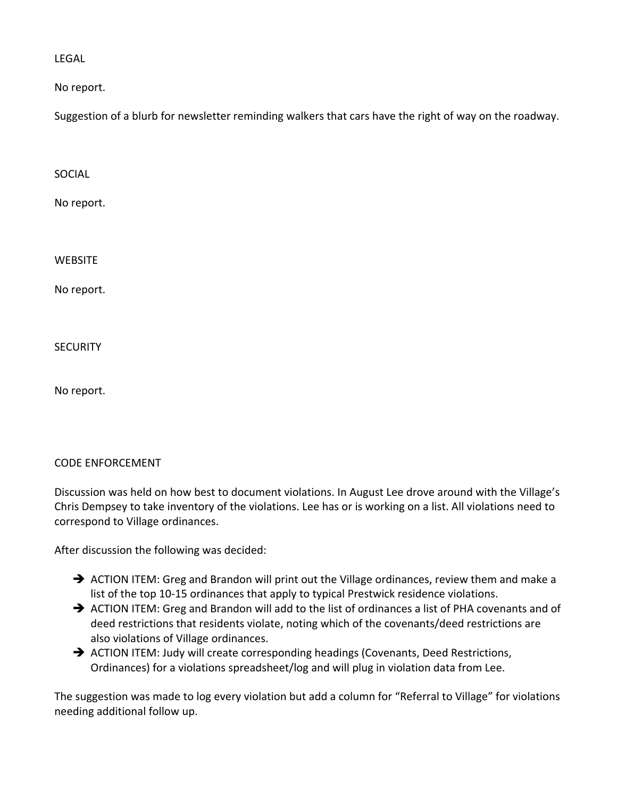LEGAL

No report.

Suggestion of a blurb for newsletter reminding walkers that cars have the right of way on the roadway.

SOCIAL

No report.

**WEBSITE** 

No report.

**SECURITY** 

No report.

## CODE ENFORCEMENT

Discussion was held on how best to document violations. In August Lee drove around with the Village's Chris Dempsey to take inventory of the violations. Lee has or is working on a list. All violations need to correspond to Village ordinances.

After discussion the following was decided:

- $\rightarrow$  ACTION ITEM: Greg and Brandon will print out the Village ordinances, review them and make a list of the top 10‐15 ordinances that apply to typical Prestwick residence violations.
- $\rightarrow$  ACTION ITEM: Greg and Brandon will add to the list of ordinances a list of PHA covenants and of deed restrictions that residents violate, noting which of the covenants/deed restrictions are also violations of Village ordinances.
- → ACTION ITEM: Judy will create corresponding headings (Covenants, Deed Restrictions, Ordinances) for a violations spreadsheet/log and will plug in violation data from Lee.

The suggestion was made to log every violation but add a column for "Referral to Village" for violations needing additional follow up.